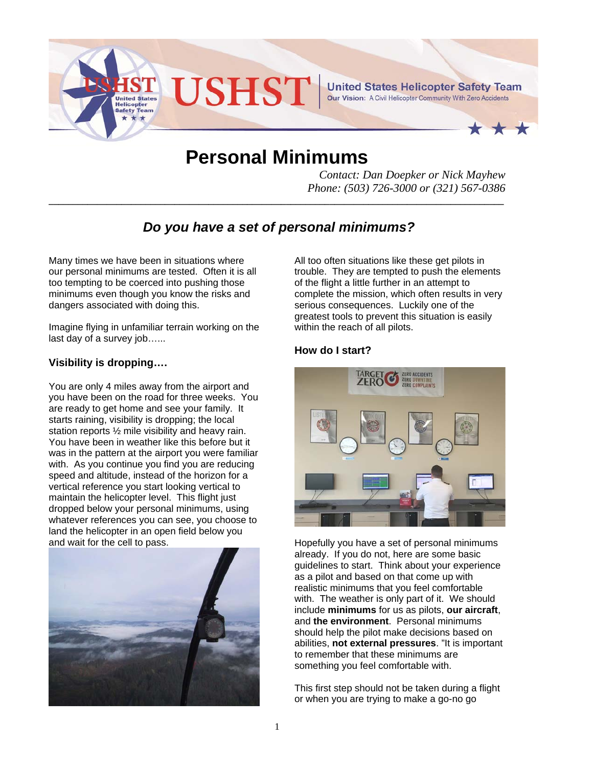

# **Personal Minimums**

*Contact: Dan Doepker or Nick Mayhew Phone: (503) 726-3000 or (321) 567-0386* 

# *Do you have a set of personal minimums?*

**\_\_\_\_\_\_\_\_\_\_\_\_\_\_\_\_\_\_\_\_\_\_\_\_\_\_\_\_\_\_\_\_\_\_\_\_\_\_\_\_\_\_\_\_\_\_\_\_\_\_\_\_\_\_\_\_\_\_\_\_\_\_\_\_\_\_\_\_\_\_\_\_\_\_\_\_\_\_\_\_\_\_\_\_\_\_\_\_\_\_\_\_\_\_**

Many times we have been in situations where our personal minimums are tested. Often it is all too tempting to be coerced into pushing those minimums even though you know the risks and dangers associated with doing this.

Imagine flying in unfamiliar terrain working on the last day of a survey job…...

## **Visibility is dropping….**

You are only 4 miles away from the airport and you have been on the road for three weeks. You are ready to get home and see your family. It starts raining, visibility is dropping; the local station reports ½ mile visibility and heavy rain. You have been in weather like this before but it was in the pattern at the airport you were familiar with. As you continue you find you are reducing speed and altitude, instead of the horizon for a vertical reference you start looking vertical to maintain the helicopter level. This flight just dropped below your personal minimums, using whatever references you can see, you choose to land the helicopter in an open field below you and wait for the cell to pass.



All too often situations like these get pilots in trouble. They are tempted to push the elements of the flight a little further in an attempt to complete the mission, which often results in very serious consequences. Luckily one of the greatest tools to prevent this situation is easily within the reach of all pilots.

### **How do I start?**



Hopefully you have a set of personal minimums already. If you do not, here are some basic guidelines to start. Think about your experience as a pilot and based on that come up with realistic minimums that you feel comfortable with. The weather is only part of it. We should include **minimums** for us as pilots, **our aircraft**, and **the environment**. Personal minimums should help the pilot make decisions based on abilities, **not external pressures**. "It is important to remember that these minimums are something you feel comfortable with.

This first step should not be taken during a flight or when you are trying to make a go-no go